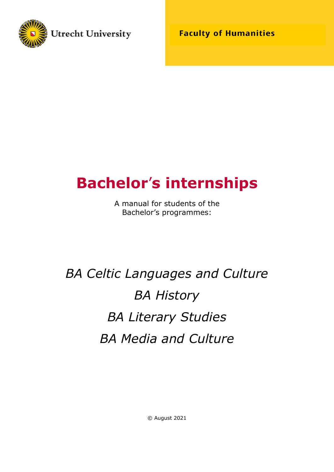

**Faculty of Humanities** 

# **Bachelor**'**s internships**

A manual for students of the Bachelor's programmes:

# *BA Celtic Languages and Culture BA History BA Literary Studies BA Media and Culture*

© August 2021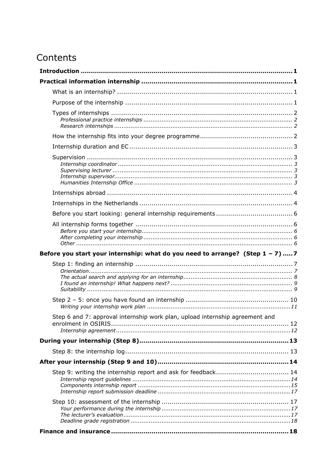# Contents

| Before you start your internship: what do you need to arrange? (Step $1 - 7$ )  7 |  |
|-----------------------------------------------------------------------------------|--|
|                                                                                   |  |
|                                                                                   |  |
| Step 6 and 7: approval internship work plan, upload internship agreement and      |  |
|                                                                                   |  |
|                                                                                   |  |
|                                                                                   |  |
| Step 9: writing the internship report and ask for feedback 14                     |  |
|                                                                                   |  |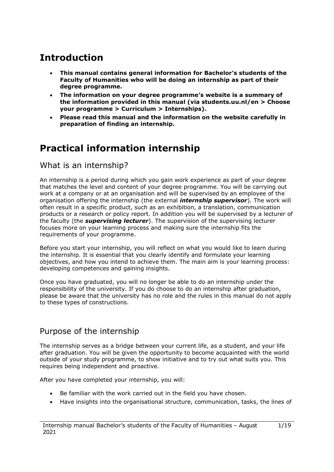# <span id="page-3-0"></span>**Introduction**

- **This manual contains general information for Bachelor's students of the Faculty of Humanities who will be doing an internship as part of their degree programme.**
- **The information on your degree programme's website is a summary of the information provided in this manual (via students.uu.nl/en > Choose your programme > Curriculum > Internships).**
- **Please read this manual and the information on the website carefully in preparation of finding an internship.**

# <span id="page-3-1"></span>**Practical information internship**

### <span id="page-3-2"></span>What is an internship?

An internship is a period during which you gain work experience as part of your degree that matches the level and content of your degree programme. You will be carrying out work at a company or at an organisation and will be supervised by an employee of the organisation offering the internship (the external *internship supervisor*). The work will often result in a specific product, such as an exhibition, a translation, communication products or a research or policy report. In addition you will be supervised by a lecturer of the faculty (the *supervising lecturer*). The supervision of the supervising lecturer focuses more on your learning process and making sure the internship fits the requirements of your programme.

Before you start your internship, you will reflect on what you would like to learn during the internship. It is essential that you clearly identify and formulate your learning objectives, and how you intend to achieve them. The main aim is your learning process: developing competences and gaining insights.

Once you have graduated, you will no longer be able to do an internship under the responsibility of the university. If you do choose to do an internship after graduation, please be aware that the university has no role and the rules in this manual do not apply to these types of constructions.

## <span id="page-3-3"></span>Purpose of the internship

The internship serves as a bridge between your current life, as a student, and your life after graduation. You will be given the opportunity to become acquainted with the world outside of your study programme, to show initiative and to try out what suits you. This requires being independent and proactive.

After you have completed your internship, you will:

- Be familiar with the work carried out in the field you have chosen.
- Have insights into the organisational structure, communication, tasks, the lines of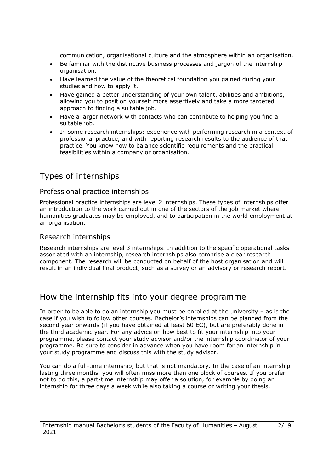communication, organisational culture and the atmosphere within an organisation.

- Be familiar with the distinctive business processes and jargon of the internship organisation.
- Have learned the value of the theoretical foundation you gained during your studies and how to apply it.
- Have gained a better understanding of your own talent, abilities and ambitions, allowing you to position yourself more assertively and take a more targeted approach to finding a suitable job.
- Have a larger network with contacts who can contribute to helping you find a suitable job.
- In some research internships: experience with performing research in a context of professional practice, and with reporting research results to the audience of that practice. You know how to balance scientific requirements and the practical feasibilities within a company or organisation.

# <span id="page-4-0"></span>Types of internships

#### <span id="page-4-1"></span>Professional practice internships

Professional practice internships are level 2 internships. These types of internships offer an introduction to the work carried out in one of the sectors of the job market where humanities graduates may be employed, and to participation in the world employment at an organisation.

#### <span id="page-4-2"></span>Research internships

Research internships are level 3 internships. In addition to the specific operational tasks associated with an internship, research internships also comprise a clear research component. The research will be conducted on behalf of the host organisation and will result in an individual final product, such as a survey or an advisory or research report.

### <span id="page-4-3"></span>How the internship fits into your degree programme

In order to be able to do an internship you must be enrolled at the university – as is the case if you wish to follow other courses. Bachelor's internships can be planned from the second year onwards (if you have obtained at least 60 EC), but are preferably done in the third academic year. For any advice on how best to fit your internship into your programme, please contact your study advisor and/or the internship coordinator of your programme. Be sure to consider in advance when you have room for an internship in your study programme and discuss this with the study advisor.

You can do a full-time internship, but that is not mandatory. In the case of an internship lasting three months, you will often miss more than one block of courses. If you prefer not to do this, a part-time internship may offer a solution, for example by doing an internship for three days a week while also taking a course or writing your thesis.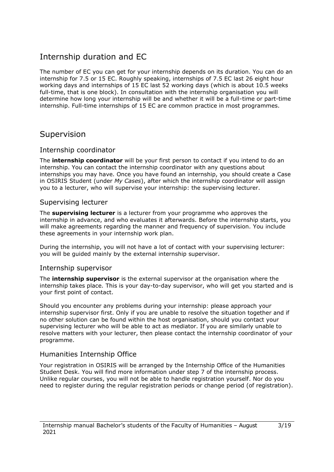# <span id="page-5-0"></span>Internship duration and EC

The number of EC you can get for your internship depends on its duration. You can do an internship for 7.5 or 15 EC. Roughly speaking, internships of 7.5 EC last 26 eight hour working days and internships of 15 EC last 52 working days (which is about 10.5 weeks full-time, that is one block). In consultation with the internship organisation you will determine how long your internship will be and whether it will be a full-time or part-time internship. Full-time internships of 15 EC are common practice in most programmes.

### <span id="page-5-1"></span>Supervision

#### <span id="page-5-2"></span>Internship coordinator

The **internship coordinator** will be your first person to contact if you intend to do an internship. You can contact the internship coordinator with any questions about internships you may have. Once you have found an internship, you should create a Case in OSIRIS Student (under *My Cases*), after which the internship coordinator will assign you to a lecturer, who will supervise your internship: the supervising lecturer.

#### <span id="page-5-3"></span>Supervising lecturer

The **supervising lecturer** is a lecturer from your programme who approves the internship in advance, and who evaluates it afterwards. Before the internship starts, you will make agreements regarding the manner and frequency of supervision. You include these agreements in your internship work plan.

During the internship, you will not have a lot of contact with your supervising lecturer: you will be guided mainly by the external internship supervisor.

#### <span id="page-5-4"></span>Internship supervisor

The **internship supervisor** is the external supervisor at the organisation where the internship takes place. This is your day-to-day supervisor, who will get you started and is your first point of contact.

Should you encounter any problems during your internship: please approach your internship supervisor first. Only if you are unable to resolve the situation together and if no other solution can be found within the host organisation, should you contact your supervising lecturer who will be able to act as mediator. If you are similarly unable to resolve matters with your lecturer, then please contact the internship coordinator of your programme.

#### <span id="page-5-5"></span>Humanities Internship Office

Your registration in OSIRIS will be arranged by the Internship Office of the Humanities Student Desk. You will find more information under step 7 of the internship process. Unlike regular courses, you will not be able to handle registration yourself. Nor do you need to register during the regular registration periods or change period (of registration).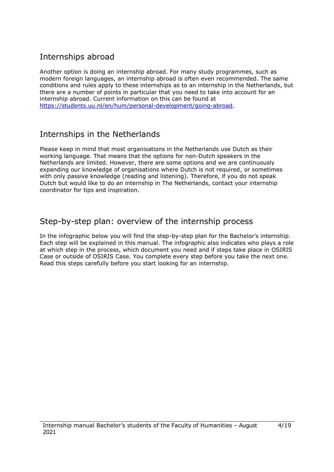# <span id="page-6-0"></span>Internships abroad

Another option is doing an internship abroad. For many study programmes, such as modern foreign languages, an internship abroad is often even recommended. The same conditions and rules apply to these internships as to an internship in the Netherlands, but there are a number of points in particular that you need to take into account for an internship abroad. Current information on this can be found at [https://students.uu.nl/en/hum/personal-development/going-abroad.](https://students.uu.nl/en/hum/personal-development/going-abroad)

# <span id="page-6-1"></span>Internships in the Netherlands

Please keep in mind that most organisations in the Netherlands use Dutch as their working language. That means that the options for non-Dutch speakers in the Netherlands are limited. However, there are some options and we are continuously expanding our knowledge of organisations where Dutch is not required, or sometimes with only passive knowledge (reading and listening). Therefore, if you do not speak Dutch but would like to do an internship in The Netherlands, contact your internship coordinator for tips and inspiration.

### Step-by-step plan: overview of the internship process

In the infographic below you will find the step-by-step plan for the Bachelor's internship. Each step will be explained in this manual. The infographic also indicates who plays a role at which step in the process, which document you need and if steps take place in OSIRIS Case or outside of OSIRIS Case. You complete every step before you take the next one. Read this steps carefully before you start looking for an internship.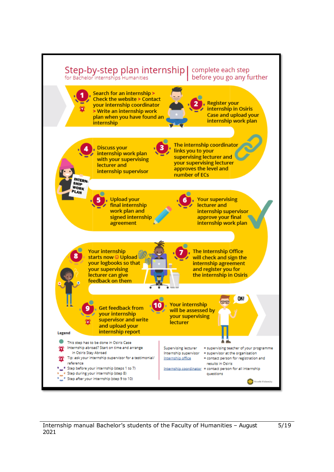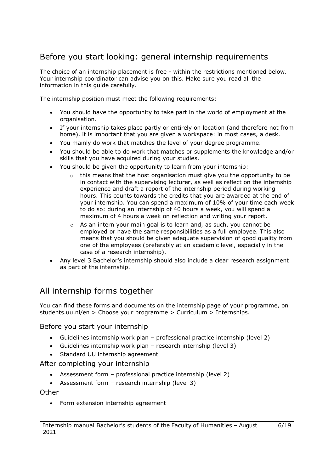## <span id="page-8-0"></span>Before you start looking: general internship requirements

The choice of an internship placement is free - within the restrictions mentioned below. Your internship coordinator can advise you on this. Make sure you read all the information in this guide carefully.

The internship position must meet the following requirements:

- You should have the opportunity to take part in the world of employment at the organisation.
- If your internship takes place partly or entirely on location (and therefore not from home), it is important that you are given a workspace: in most cases, a desk.
- You mainly do work that matches the level of your degree programme.
- You should be able to do work that matches or supplements the knowledge and/or skills that you have acquired during your studies.
- You should be given the opportunity to learn from your internship:
	- $\circ$  this means that the host organisation must give you the opportunity to be in contact with the supervising lecturer, as well as reflect on the internship experience and draft a report of the internship period during working hours. This counts towards the credits that you are awarded at the end of your internship. You can spend a maximum of 10% of your time each week to do so: during an internship of 40 hours a week, you will spend a maximum of 4 hours a week on reflection and writing your report.
	- o As an intern your main goal is to learn and, as such, you cannot be employed or have the same responsibilities as a full employee. This also means that you should be given adequate supervision of good quality from one of the employees (preferably at an academic level, especially in the case of a research internship).
- Any level 3 Bachelor's internship should also include a clear research assignment as part of the internship.

## <span id="page-8-1"></span>All internship forms together

You can find these forms and documents on the internship page of your programme, on students.uu.nl/en > Choose your programme > Curriculum > Internships.

#### <span id="page-8-2"></span>Before you start your internship

- Guidelines internship work plan professional practice internship (level 2)
- Guidelines internship work plan research internship (level 3)
- Standard UU internship agreement

#### <span id="page-8-3"></span>After completing your internship

- Assessment form professional practice internship (level 2)
- Assessment form research internship (level 3)

<span id="page-8-4"></span>**Other** 

• Form extension internship agreement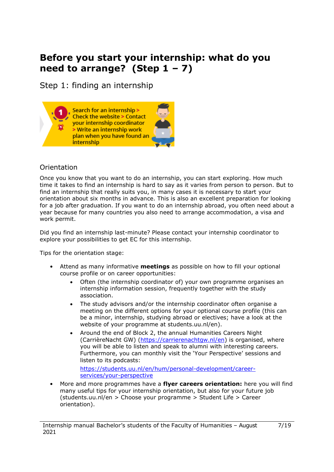# <span id="page-9-0"></span>**Before you start your internship: what do you need to arrange? (Step 1 – 7)**

<span id="page-9-1"></span>Step 1: finding an internship



#### <span id="page-9-2"></span>**Orientation**

Once you know that you want to do an internship, you can start exploring. How much time it takes to find an internship is hard to say as it varies from person to person. But to find an internship that really suits you, in many cases it is necessary to start your orientation about six months in advance. This is also an excellent preparation for looking for a job after graduation. If you want to do an internship abroad, you often need about a year because for many countries you also need to arrange accommodation, a visa and work permit.

Did you find an internship last-minute? Please contact your internship coordinator to explore your possibilities to get EC for this internship.

Tips for the orientation stage:

- Attend as many informative **meetings** as possible on how to fill your optional course profile or on career opportunities:
	- Often (the internship coordinator of) your own programme organises an internship information session, frequently together with the study association.
	- The study advisors and/or the internship coordinator often organise a meeting on the different options for your optional course profile (this can be a minor, internship, studying abroad or electives; have a look at the website of your programme at students.uu.nl/en).
	- Around the end of Block 2, the annual Humanities Careers Night (CarrièreNacht GW) [\(https://carrierenachtgw.nl/e](https://carrierenachtgw.nl/)n) is organised, where you will be able to listen and speak to alumni with interesting careers. Furthermore, you can monthly visit the 'Your Perspective' sessions and listen to its podcasts:

[https://students.uu.nl/en/hum/personal-development/career](https://students.uu.nl/en/hum/personal-development/career-services/your-perspective)[services/your-perspective](https://students.uu.nl/en/hum/personal-development/career-services/your-perspective)

• More and more programmes have a **flyer careers orientation:** here you will find many useful tips for your internship orientation, but also for your future job (students.uu.nl/en > Choose your programme > Student Life > Career orientation).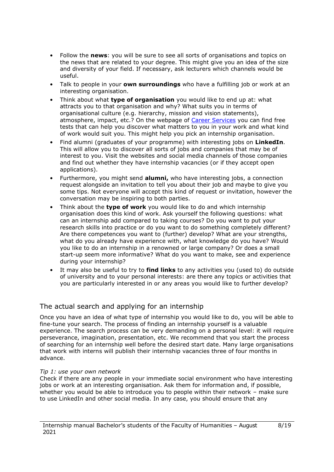- Follow the **news**: you will be sure to see all sorts of organisations and topics on the news that are related to your degree. This might give you an idea of the size and diversity of your field. If necessary, ask lecturers which channels would be useful.
- Talk to people in your **own surroundings** who have a fulfilling job or work at an interesting organisation.
- Think about what **type of organisation** you would like to end up at: what attracts you to that organisation and why? What suits you in terms of organisational culture (e.g. hierarchy, mission and vision statements), atmosphere, impact, etc.? On the webpage of [Career Services](https://students.uu.nl/careerservices) you can find free tests that can help you discover what matters to you in your work and what kind of work would suit you. This might help you pick an internship organisation.
- Find alumni (graduates of your programme) with interesting jobs on **LinkedIn**. This will allow you to discover all sorts of jobs and companies that may be of interest to you. Visit the websites and social media channels of those companies and find out whether they have internship vacancies (or if they accept open applications).
- Furthermore, you might send **alumni,** who have interesting jobs, a connection request alongside an invitation to tell you about their job and maybe to give you some tips. Not everyone will accept this kind of request or invitation, however the conversation may be inspiring to both parties.
- Think about the **type of work** you would like to do and which internship organisation does this kind of work. Ask yourself the following questions: what can an internship add compared to taking courses? Do you want to put your research skills into practice or do you want to do something completely different? Are there competences you want to (further) develop? What are your strengths, what do you already have experience with, what knowledge do you have? Would you like to do an internship in a renowned or large company? Or does a small start-up seem more informative? What do you want to make, see and experience during your internship?
- It may also be useful to try to **find links** to any activities you (used to) do outside of university and to your personal interests: are there any topics or activities that you are particularly interested in or any areas you would like to further develop?

#### <span id="page-10-0"></span>The actual search and applying for an internship

Once you have an idea of what type of internship you would like to do, you will be able to fine-tune your search. The process of finding an internship yourself is a valuable experience. The search process can be very demanding on a personal level: it will require perseverance, imagination, presentation, etc. We recommend that you start the process of searching for an internship well before the desired start date. Many large organisations that work with interns will publish their internship vacancies three of four months in advance.

#### *Tip 1: use your own network*

Check if there are any people in your immediate social environment who have interesting jobs or work at an interesting organisation. Ask them for information and, if possible, whether you would be able to introduce you to people within their network – make sure to use LinkedIn and other social media. In any case, you should ensure that any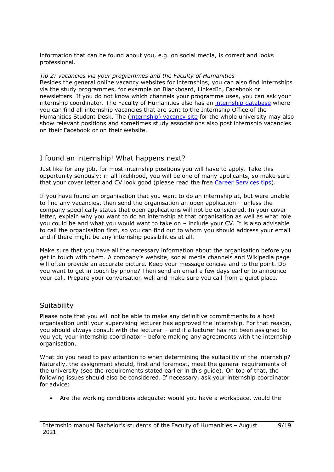information that can be found about you, e.g. on social media, is correct and looks professional.

*Tip 2: vacancies via your programmes and the Faculty of Humanities* Besides the general online vacancy websites for internships, you can also find internships via the study programmes, for example on Blackboard, LinkedIn, Facebook or newsletters. If you do not know which channels your programme uses, you can ask your internship coordinator. The Faculty of Humanities also has an [internship database](http://www.uu.nl/gwstages) where you can find all internship vacancies that are sent to the Internship Office of the Humanities Student Desk. The (internship) [vacancy site](https://uu.jobteaser.com/) for the whole university may also show relevant positions and sometimes study associations also post internship vacancies on their Facebook or on their website.

#### <span id="page-11-0"></span>I found an internship! What happens next?

Just like for any job, for most internship positions you will have to apply. Take this opportunity seriously: in all likelihood, you will be one of many applicants, so make sure that your cover letter and CV look good (please read the free [Career Services tips\)](https://students.uu.nl/gw/career-services/sollicitatie-en-cv-tips).

If you have found an organisation that you want to do an internship at, but were unable to find any vacancies, then send the organisation an open application – unless the company specifically states that open applications will not be considered. In your cover letter, explain why you want to do an internship at that organisation as well as what role you could be and what you would want to take on – include your CV. It is also advisable to call the organisation first, so you can find out to whom you should address your email and if there might be any internship possibilities at all.

Make sure that you have all the necessary information about the organisation before you get in touch with them. A company's website, social media channels and Wikipedia page will often provide an accurate picture. Keep your message concise and to the point. Do you want to get in touch by phone? Then send an email a few days earlier to announce your call. Prepare your conversation well and make sure you call from a quiet place.

#### <span id="page-11-1"></span>**Suitability**

Please note that you will not be able to make any definitive commitments to a host organisation until your supervising lecturer has approved the internship. For that reason, you should always consult with the lecturer – and if a lecturer has not been assigned to you yet, your internship coordinator - before making any agreements with the internship organisation.

What do you need to pay attention to when determining the suitability of the internship? Naturally, the assignment should, first and foremost, meet the general requirements of the university (see the requirements stated earlier in this guide). On top of that, the following issues should also be considered. If necessary, ask your internship coordinator for advice:

• Are the working conditions adequate: would you have a workspace, would the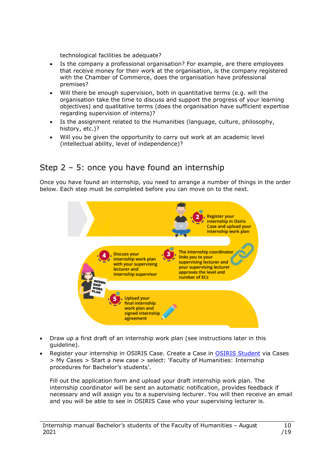technological facilities be adequate?

- Is the company a professional organisation? For example, are there employees that receive money for their work at the organisation, is the company registered with the Chamber of Commerce, does the organisation have professional premises?
- Will there be enough supervision, both in quantitative terms (e.g. will the organisation take the time to discuss and support the progress of your learning objectives) and qualitative terms (does the organisation have sufficient expertise regarding supervision of interns)?
- Is the assignment related to the Humanities (language, culture, philosophy, history, etc.)?
- Will you be given the opportunity to carry out work at an academic level (intellectual ability, level of independence)?

# <span id="page-12-0"></span>Step 2 – 5: once you have found an internship

Once you have found an internship, you need to arrange a number of things in the order below. Each step must be completed before you can move on to the next.



- Draw up a first draft of an internship work plan (see instructions later in this guideline).
- Register your internship in OSIRIS Case. Create a Case in OSIRIS [Student](https://osiris-student.uu.nl/) via Cases > My Cases > Start a new case > select: 'Faculty of Humanities: Internship procedures for Bachelor's students'.

Fill out the application form and upload your draft internship work plan. The internship coordinator will be sent an automatic notification, provides feedback if necessary and will assign you to a supervising lecturer. You will then receive an email and you will be able to see in OSIRIS Case who your supervising lecturer is.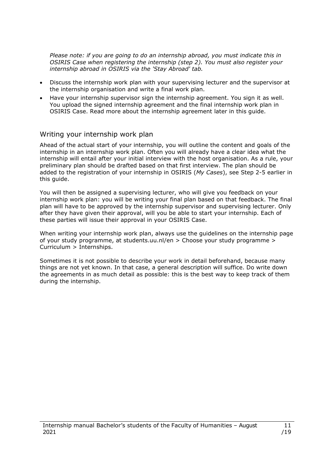*Please note: if you are going to do an internship abroad, you must indicate this in OSIRIS Case when registering the internship (step 2). You must also register your internship abroad in OSIRIS via the 'Stay Abroad' tab.*

- Discuss the internship work plan with your supervising lecturer and the supervisor at the internship organisation and write a final work plan.
- Have your internship supervisor sign the internship agreement. You sign it as well. You upload the signed internship agreement and the final internship work plan in OSIRIS Case. Read more about the internship agreement later in this guide.

#### <span id="page-13-0"></span>Writing your internship work plan

Ahead of the actual start of your internship, you will outline the content and goals of the internship in an internship work plan. Often you will already have a clear idea what the internship will entail after your initial interview with the host organisation. As a rule, your preliminary plan should be drafted based on that first interview. The plan should be added to the registration of your internship in OSIRIS (*My Cases*), see Step 2-5 earlier in this guide.

You will then be assigned a supervising lecturer, who will give you feedback on your internship work plan: you will be writing your final plan based on that feedback. The final plan will have to be approved by the internship supervisor and supervising lecturer. Only after they have given their approval, will you be able to start your internship. Each of these parties will issue their approval in your OSIRIS Case.

When writing your internship work plan, always use the guidelines on the internship page of your study programme, at students.uu.nl/en > Choose your study programme > Curriculum > Internships.

Sometimes it is not possible to describe your work in detail beforehand, because many things are not yet known. In that case, a general description will suffice. Do write down the agreements in as much detail as possible: this is the best way to keep track of them during the internship.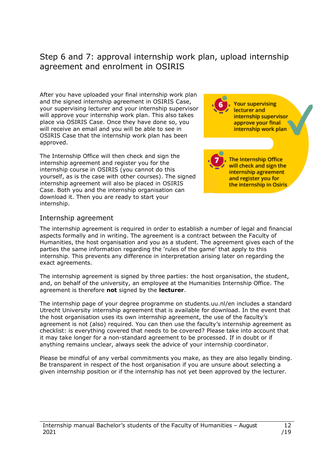### <span id="page-14-0"></span>Step 6 and 7: approval internship work plan, upload internship agreement and enrolment in OSIRIS

After you have uploaded your final internship work plan and the signed internship agreement in OSIRIS Case, your supervising lecturer and your internship supervisor will approve your internship work plan. This also takes place via OSIRIS Case. Once they have done so, you will receive an email and you will be able to see in OSIRIS Case that the internship work plan has been approved.

The Internship Office will then check and sign the internship agreement and register you for the internship course in OSIRIS (you cannot do this yourself, as is the case with other courses). The signed internship agreement will also be placed in OSIRIS Case. Both you and the internship organisation can download it. Then you are ready to start your internship.

#### <span id="page-14-1"></span>Internship agreement

The internship agreement is required in order to establish a number of legal and financial aspects formally and in writing. The agreement is a contract between the Faculty of Humanities, the host organisation and you as a student. The agreement gives each of the parties the same information regarding the 'rules of the game' that apply to this internship. This prevents any difference in interpretation arising later on regarding the exact agreements.

The internship agreement is signed by three parties: the host organisation, the student, and, on behalf of the university, an employee at the Humanities Internship Office. The agreement is therefore **not** signed by the **lecturer**.

The internship page of your degree programme on students.uu.nl/en includes a standard Utrecht University internship agreement that is available for download. In the event that the host organisation uses its own internship agreement, the use of the faculty's agreement is not (also) required. You can then use the faculty's internship agreement as checklist: is everything covered that needs to be covered? Please take into account that it may take longer for a non-standard agreement to be processed. If in doubt or if anything remains unclear, always seek the advice of your internship coordinator.

Please be mindful of any verbal commitments you make, as they are also legally binding. Be transparent in respect of the host organisation if you are unsure about selecting a given internship position or if the internship has not yet been approved by the lecturer.





the internship in Osiris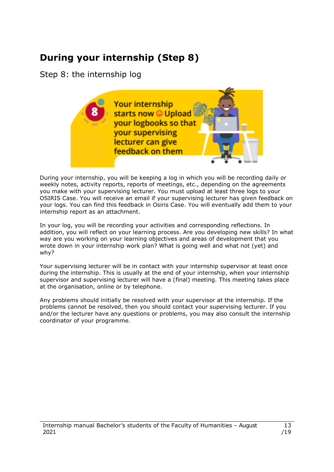# <span id="page-15-0"></span>**During your internship (Step 8)**

<span id="page-15-1"></span>Step 8: the internship log



During your internship, you will be keeping a log in which you will be recording daily or weekly notes, activity reports, reports of meetings, etc., depending on the agreements you make with your supervising lecturer. You must upload at least three logs to your OSIRIS Case. You will receive an email if your supervising lecturer has given feedback on your logs. You can find this feedback in Osiris Case. You will eventually add them to your internship report as an attachment.

In your log, you will be recording your activities and corresponding reflections. In addition, you will reflect on your learning process. Are you developing new skills? In what way are you working on your learning objectives and areas of development that you wrote down in your internship work plan? What is going well and what not (yet) and why?

Your supervising lecturer will be in contact with your internship supervisor at least once during the internship. This is usually at the end of your internship, when your internship supervisor and supervising lecturer will have a (final) meeting. This meeting takes place at the organisation, online or by telephone.

Any problems should initially be resolved with your supervisor at the internship. If the problems cannot be resolved, then you should contact your supervising lecturer. If you and/or the lecturer have any questions or problems, you may also consult the internship coordinator of your programme.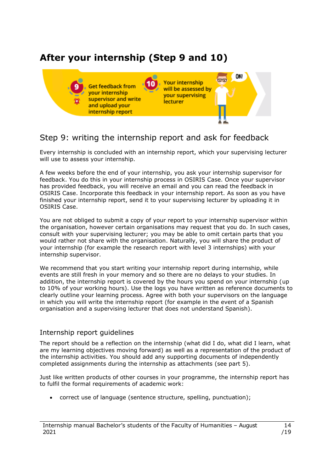# <span id="page-16-0"></span>**After your internship (Step 9 and 10)**



# <span id="page-16-1"></span>Step 9: writing the internship report and ask for feedback

Every internship is concluded with an internship report, which your supervising lecturer will use to assess your internship.

A few weeks before the end of your internship, you ask your internship supervisor for feedback. You do this in your internship process in OSIRIS Case. Once your supervisor has provided feedback, you will receive an email and you can read the feedback in OSIRIS Case. Incorporate this feedback in your internship report. As soon as you have finished your internship report, send it to your supervising lecturer by uploading it in OSIRIS Case.

You are not obliged to submit a copy of your report to your internship supervisor within the organisation, however certain organisations may request that you do. In such cases, consult with your supervising lecturer; you may be able to omit certain parts that you would rather not share with the organisation. Naturally, you will share the product of your internship (for example the research report with level 3 internships) with your internship supervisor.

We recommend that you start writing your internship report during internship, while events are still fresh in your memory and so there are no delays to your studies. In addition, the internship report is covered by the hours you spend on your internship (up to 10% of your working hours). Use the logs you have written as reference documents to clearly outline your learning process. Agree with both your supervisors on the language in which you will write the internship report (for example in the event of a Spanish organisation and a supervising lecturer that does not understand Spanish).

#### <span id="page-16-2"></span>Internship report guidelines

The report should be a reflection on the internship (what did I do, what did I learn, what are my learning objectives moving forward) as well as a representation of the product of the internship activities. You should add any supporting documents of independently completed assignments during the internship as attachments (see part 5).

Just like written products of other courses in your programme, the internship report has to fulfil the formal requirements of academic work:

• correct use of language (sentence structure, spelling, punctuation);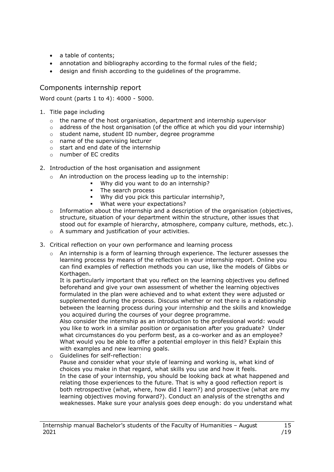- a table of contents;
- annotation and bibliography according to the formal rules of the field;
- design and finish according to the guidelines of the programme.

#### <span id="page-17-0"></span>Components internship report

Word count (parts 1 to 4): 4000 - 5000.

- 1. Title page including
	- $\circ$  the name of the host organisation, department and internship supervisor
	- $\circ$  address of the host organisation (of the office at which you did your internship)
	- o student name, student ID number, degree programme
	- o name of the supervising lecturer
	- o start and end date of the internship
	- o number of EC credits
- 2. Introduction of the host organisation and assignment
	- o An introduction on the process leading up to the internship:
		- Why did you want to do an internship?
			- The search process
			- Why did you pick this particular internship?,
			- What were your expectations?
	- $\circ$  Information about the internship and a description of the organisation (objectives, structure, situation of your department within the structure, other issues that stood out for example of hierarchy, atmosphere, company culture, methods, etc.).
	- o A summary and justification of your activities.
- 3. Critical reflection on your own performance and learning process
	- $\circ$  An internship is a form of learning through experience. The lecturer assesses the learning process by means of the reflection in your internship report. Online you can find examples of reflection methods you can use, like the models of Gibbs or Korthagen.

It is particularly important that you reflect on the learning objectives you defined beforehand and give your own assessment of whether the learning objectives formulated in the plan were achieved and to what extent they were adjusted or supplemented during the process. Discuss whether or not there is a relationship between the learning process during your internship and the skills and knowledge you acquired during the courses of your degree programme.

Also consider the internship as an introduction to the professional world: would you like to work in a similar position or organisation after you graduate? Under what circumstances do you perform best, as a co-worker and as an employee? What would you be able to offer a potential employer in this field? Explain this with examples and new learning goals.

o Guidelines for self-reflection:

Pause and consider what your style of learning and working is, what kind of choices you make in that regard, what skills you use and how it feels. In the case of your internship, you should be looking back at what happened and relating those experiences to the future. That is why a good reflection report is both retrospective (what, where, how did I learn?) and prospective (what are my learning objectives moving forward?). Conduct an analysis of the strengths and weaknesses. Make sure your analysis goes deep enough: do you understand what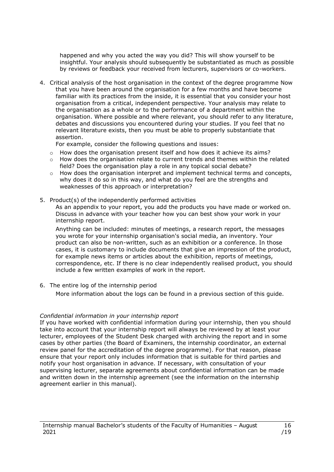happened and why you acted the way you did? This will show yourself to be insightful. Your analysis should subsequently be substantiated as much as possible by reviews or feedback your received from lecturers, supervisors or co-workers.

4. Critical analysis of the host organisation in the context of the degree programme Now that you have been around the organisation for a few months and have become familiar with its practices from the inside, it is essential that you consider your host organisation from a critical, independent perspective. Your analysis may relate to the organisation as a whole or to the performance of a department within the organisation. Where possible and where relevant, you should refer to any literature, debates and discussions you encountered during your studies. If you feel that no relevant literature exists, then you must be able to properly substantiate that assertion.

For example, consider the following questions and issues:

- $\circ$  How does the organisation present itself and how does it achieve its aims?
- $\circ$  How does the organisation relate to current trends and themes within the related field? Does the organisation play a role in any topical social debate?
- $\circ$  How does the organisation interpret and implement technical terms and concepts, why does it do so in this way, and what do you feel are the strengths and weaknesses of this approach or interpretation?
- 5. Product(s) of the independently performed activities

As an appendix to your report, you add the products you have made or worked on. Discuss in advance with your teacher how you can best show your work in your internship report.

Anything can be included: minutes of meetings, a research report, the messages you wrote for your internship organisation's social media, an inventory. Your product can also be non-written, such as an exhibition or a conference. In those cases, it is customary to include documents that give an impression of the product, for example news items or articles about the exhibition, reports of meetings, correspondence, etc. If there is no clear independently realised product, you should include a few written examples of work in the report.

6. The entire log of the internship period

More information about the logs can be found in a previous section of this guide.

#### *Confidential information in your internship report*

If you have worked with confidential information during your internship, then you should take into account that your internship report will always be reviewed by at least your lecturer, employees of the Student Desk charged with archiving the report and in some cases by other parties (the Board of Examiners, the internship coordinator, an external review panel for the accreditation of the degree programme). For that reason, please ensure that your report only includes information that is suitable for third parties and notify your host organisation in advance. If necessary, with consultation of your supervising lecturer, separate agreements about confidential information can be made and written down in the internship agreement (see the information on the internship agreement earlier in this manual).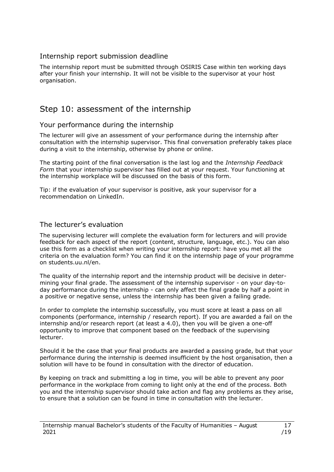#### <span id="page-19-0"></span>Internship report submission deadline

The internship report must be submitted through OSIRIS Case within ten working days after your finish your internship. It will not be visible to the supervisor at your host organisation.

## <span id="page-19-1"></span>Step 10: assessment of the internship

#### <span id="page-19-2"></span>Your performance during the internship

The lecturer will give an assessment of your performance during the internship after consultation with the internship supervisor. This final conversation preferably takes place during a visit to the internship, otherwise by phone or online.

The starting point of the final conversation is the last log and the *Internship Feedback Form* that your internship supervisor has filled out at your request. Your functioning at the internship workplace will be discussed on the basis of this form.

Tip: if the evaluation of your supervisor is positive, ask your supervisor for a recommendation on LinkedIn.

#### <span id="page-19-3"></span>The lecturer's evaluation

The supervising lecturer will complete the evaluation form for lecturers and will provide feedback for each aspect of the report (content, structure, language, etc.). You can also use this form as a checklist when writing your internship report: have you met all the criteria on the evaluation form? You can find it on the internship page of your programme on students.uu.nl/en.

The quality of the internship report and the internship product will be decisive in determining your final grade. The assessment of the internship supervisor - on your day-today performance during the internship - can only affect the final grade by half a point in a positive or negative sense, unless the internship has been given a failing grade.

In order to complete the internship successfully, you must score at least a pass on all components (performance, internship / research report). If you are awarded a fail on the internship and/or research report (at least a 4.0), then you will be given a one-off opportunity to improve that component based on the feedback of the supervising lecturer.

Should it be the case that your final products are awarded a passing grade, but that your performance during the internship is deemed insufficient by the host organisation, then a solution will have to be found in consultation with the director of education.

By keeping on track and submitting a log in time, you will be able to prevent any poor performance in the workplace from coming to light only at the end of the process. Both you and the internship supervisor should take action and flag any problems as they arise, to ensure that a solution can be found in time in consultation with the lecturer.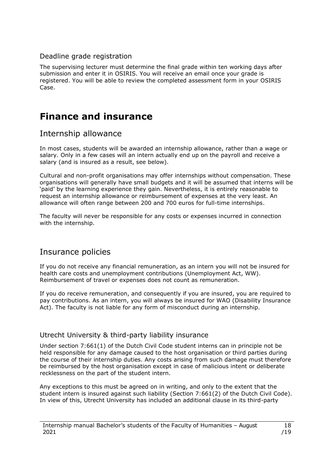#### <span id="page-20-0"></span>Deadline grade registration

The supervising lecturer must determine the final grade within ten working days after submission and enter it in OSIRIS. You will receive an email once your grade is registered. You will be able to review the completed assessment form in your OSIRIS Case.

# <span id="page-20-1"></span>**Finance and insurance**

### <span id="page-20-2"></span>Internship allowance

In most cases, students will be awarded an internship allowance, rather than a wage or salary. Only in a few cases will an intern actually end up on the payroll and receive a salary (and is insured as a result, see below).

Cultural and non-profit organisations may offer internships without compensation. These organisations will generally have small budgets and it will be assumed that interns will be 'paid' by the learning experience they gain. Nevertheless, it is entirely reasonable to request an internship allowance or reimbursement of expenses at the very least. An allowance will often range between 200 and 700 euros for full-time internships.

The faculty will never be responsible for any costs or expenses incurred in connection with the internship.

### <span id="page-20-3"></span>Insurance policies

If you do not receive any financial remuneration, as an intern you will not be insured for health care costs and unemployment contributions (Unemployment Act, WW). Reimbursement of travel or expenses does not count as remuneration.

If you do receive remuneration, and consequently if you are insured, you are required to pay contributions. As an intern, you will always be insured for WAO (Disability Insurance Act). The faculty is not liable for any form of misconduct during an internship.

#### <span id="page-20-4"></span>Utrecht University & third-party liability insurance

Under section 7:661(1) of the Dutch Civil Code student interns can in principle not be held responsible for any damage caused to the host organisation or third parties during the course of their internship duties. Any costs arising from such damage must therefore be reimbursed by the host organisation except in case of malicious intent or deliberate recklessness on the part of the student intern.

Any exceptions to this must be agreed on in writing, and only to the extent that the student intern is insured against such liability (Section 7:661(2) of the Dutch Civil Code). In view of this, Utrecht University has included an additional clause in its third-party